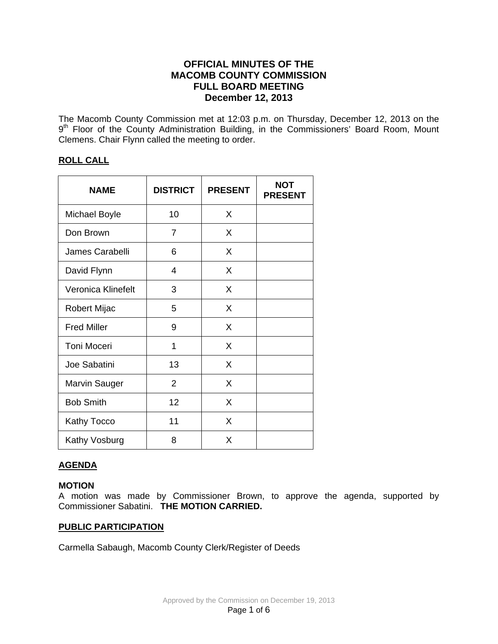## **OFFICIAL MINUTES OF THE MACOMB COUNTY COMMISSION FULL BOARD MEETING December 12, 2013**

The Macomb County Commission met at 12:03 p.m. on Thursday, December 12, 2013 on the 9<sup>th</sup> Floor of the County Administration Building, in the Commissioners' Board Room, Mount Clemens. Chair Flynn called the meeting to order.

## **ROLL CALL**

| <b>NAME</b>          | <b>DISTRICT</b> | <b>PRESENT</b> | <b>NOT</b><br><b>PRESENT</b> |
|----------------------|-----------------|----------------|------------------------------|
| <b>Michael Boyle</b> | 10              | X              |                              |
| Don Brown            | 7               | X              |                              |
| James Carabelli      | 6               | X              |                              |
| David Flynn          | 4               | X              |                              |
| Veronica Klinefelt   | 3               | X              |                              |
| Robert Mijac         | 5               | X              |                              |
| <b>Fred Miller</b>   | 9               | X              |                              |
| <b>Toni Moceri</b>   | 1               | X              |                              |
| Joe Sabatini         | 13              | X              |                              |
| Marvin Sauger        | $\overline{2}$  | X              |                              |
| <b>Bob Smith</b>     | 12              | X              |                              |
| Kathy Tocco          | 11              | X              |                              |
| Kathy Vosburg        | 8               | X              |                              |

## **AGENDA**

## **MOTION**

A motion was made by Commissioner Brown, to approve the agenda, supported by Commissioner Sabatini. **THE MOTION CARRIED.**

## **PUBLIC PARTICIPATION**

Carmella Sabaugh, Macomb County Clerk/Register of Deeds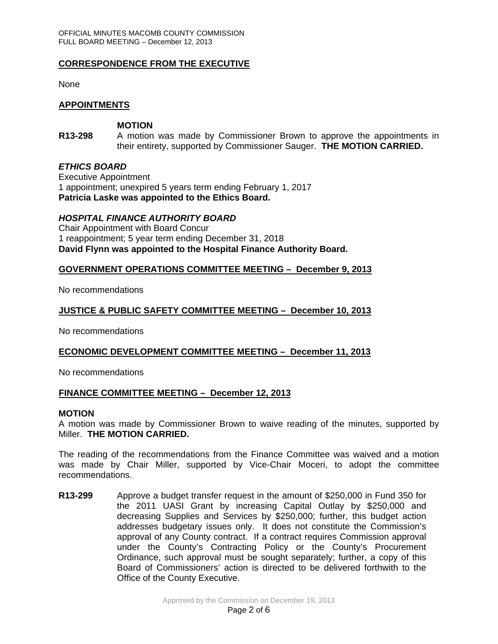### **CORRESPONDENCE FROM THE EXECUTIVE**

None

### **APPOINTMENTS**

### **MOTION**

**R13-298** A motion was made by Commissioner Brown to approve the appointments in their entirety, supported by Commissioner Sauger. **THE MOTION CARRIED.** 

#### *ETHICS BOARD*

Executive Appointment 1 appointment; unexpired 5 years term ending February 1, 2017 **Patricia Laske was appointed to the Ethics Board.** 

### *HOSPITAL FINANCE AUTHORITY BOARD*

Chair Appointment with Board Concur 1 reappointment; 5 year term ending December 31, 2018 **David Flynn was appointed to the Hospital Finance Authority Board.** 

#### **GOVERNMENT OPERATIONS COMMITTEE MEETING – December 9, 2013**

No recommendations

### **JUSTICE & PUBLIC SAFETY COMMITTEE MEETING – December 10, 2013**

No recommendations

### **ECONOMIC DEVELOPMENT COMMITTEE MEETING – December 11, 2013**

No recommendations

### **FINANCE COMMITTEE MEETING – December 12, 2013**

#### **MOTION**

A motion was made by Commissioner Brown to waive reading of the minutes, supported by Miller. **THE MOTION CARRIED.**

The reading of the recommendations from the Finance Committee was waived and a motion was made by Chair Miller, supported by Vice-Chair Moceri, to adopt the committee recommendations.

**R13-299** Approve a budget transfer request in the amount of \$250,000 in Fund 350 for the 2011 UASI Grant by increasing Capital Outlay by \$250,000 and decreasing Supplies and Services by \$250,000; further, this budget action addresses budgetary issues only. It does not constitute the Commission's approval of any County contract. If a contract requires Commission approval under the County's Contracting Policy or the County's Procurement Ordinance, such approval must be sought separately; further, a copy of this Board of Commissioners' action is directed to be delivered forthwith to the Office of the County Executive.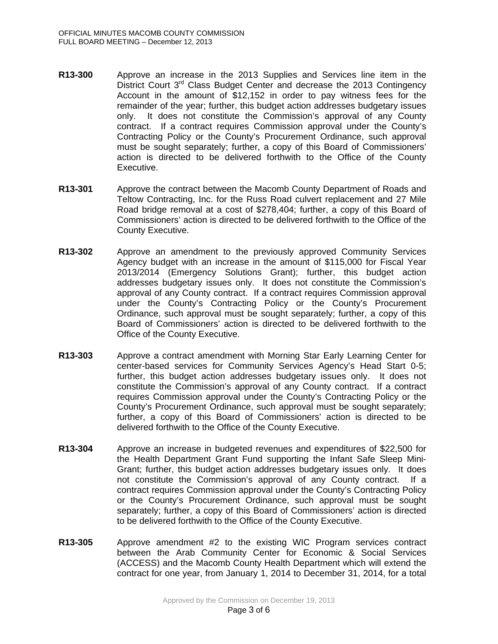- **R13-300** Approve an increase in the 2013 Supplies and Services line item in the District Court  $3^{rd}$  Class Budget Center and decrease the 2013 Contingency Account in the amount of \$12,152 in order to pay witness fees for the remainder of the year; further, this budget action addresses budgetary issues only. It does not constitute the Commission's approval of any County contract. If a contract requires Commission approval under the County's Contracting Policy or the County's Procurement Ordinance, such approval must be sought separately; further, a copy of this Board of Commissioners' action is directed to be delivered forthwith to the Office of the County Executive.
- **R13-301** Approve the contract between the Macomb County Department of Roads and Teltow Contracting, Inc. for the Russ Road culvert replacement and 27 Mile Road bridge removal at a cost of \$278,404; further, a copy of this Board of Commissioners' action is directed to be delivered forthwith to the Office of the County Executive.
- **R13-302** Approve an amendment to the previously approved Community Services Agency budget with an increase in the amount of \$115,000 for Fiscal Year 2013/2014 (Emergency Solutions Grant); further, this budget action addresses budgetary issues only. It does not constitute the Commission's approval of any County contract. If a contract requires Commission approval under the County's Contracting Policy or the County's Procurement Ordinance, such approval must be sought separately; further, a copy of this Board of Commissioners' action is directed to be delivered forthwith to the Office of the County Executive.
- **R13-303** Approve a contract amendment with Morning Star Early Learning Center for center-based services for Community Services Agency's Head Start 0-5; further, this budget action addresses budgetary issues only. It does not constitute the Commission's approval of any County contract. If a contract requires Commission approval under the County's Contracting Policy or the County's Procurement Ordinance, such approval must be sought separately; further, a copy of this Board of Commissioners' action is directed to be delivered forthwith to the Office of the County Executive.
- **R13-304** Approve an increase in budgeted revenues and expenditures of \$22,500 for the Health Department Grant Fund supporting the Infant Safe Sleep Mini-Grant; further, this budget action addresses budgetary issues only. It does not constitute the Commission's approval of any County contract. If a contract requires Commission approval under the County's Contracting Policy or the County's Procurement Ordinance, such approval must be sought separately; further, a copy of this Board of Commissioners' action is directed to be delivered forthwith to the Office of the County Executive.
- **R13-305** Approve amendment #2 to the existing WIC Program services contract between the Arab Community Center for Economic & Social Services (ACCESS) and the Macomb County Health Department which will extend the contract for one year, from January 1, 2014 to December 31, 2014, for a total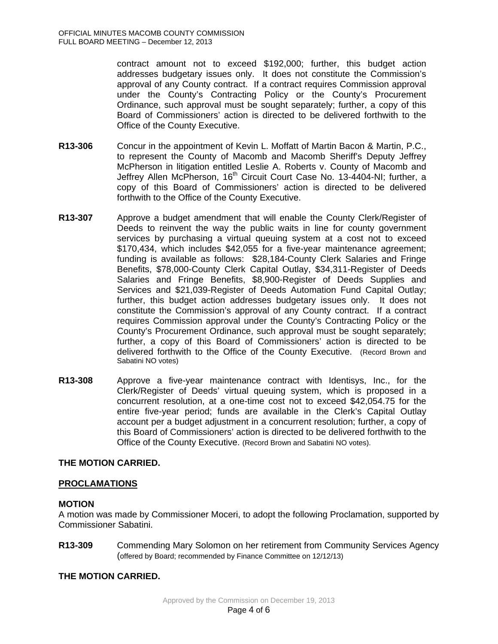contract amount not to exceed \$192,000; further, this budget action addresses budgetary issues only. It does not constitute the Commission's approval of any County contract. If a contract requires Commission approval under the County's Contracting Policy or the County's Procurement Ordinance, such approval must be sought separately; further, a copy of this Board of Commissioners' action is directed to be delivered forthwith to the Office of the County Executive.

- **R13-306** Concur in the appointment of Kevin L. Moffatt of Martin Bacon & Martin, P.C., to represent the County of Macomb and Macomb Sheriff's Deputy Jeffrey McPherson in litigation entitled Leslie A. Roberts v. County of Macomb and Jeffrey Allen McPherson, 16<sup>th</sup> Circuit Court Case No. 13-4404-NI; further, a copy of this Board of Commissioners' action is directed to be delivered forthwith to the Office of the County Executive.
- **R13-307** Approve a budget amendment that will enable the County Clerk/Register of Deeds to reinvent the way the public waits in line for county government services by purchasing a virtual queuing system at a cost not to exceed \$170,434, which includes \$42,055 for a five-year maintenance agreement; funding is available as follows: \$28,184-County Clerk Salaries and Fringe Benefits, \$78,000-County Clerk Capital Outlay, \$34,311-Register of Deeds Salaries and Fringe Benefits, \$8,900-Register of Deeds Supplies and Services and \$21,039-Register of Deeds Automation Fund Capital Outlay; further, this budget action addresses budgetary issues only. It does not constitute the Commission's approval of any County contract. If a contract requires Commission approval under the County's Contracting Policy or the County's Procurement Ordinance, such approval must be sought separately; further, a copy of this Board of Commissioners' action is directed to be delivered forthwith to the Office of the County Executive. (Record Brown and Sabatini NO votes)
- **R13-308** Approve a five-year maintenance contract with Identisys, Inc., for the Clerk/Register of Deeds' virtual queuing system, which is proposed in a concurrent resolution, at a one-time cost not to exceed \$42,054.75 for the entire five-year period; funds are available in the Clerk's Capital Outlay account per a budget adjustment in a concurrent resolution; further, a copy of this Board of Commissioners' action is directed to be delivered forthwith to the Office of the County Executive. (Record Brown and Sabatini NO votes).

## **THE MOTION CARRIED.**

## **PROCLAMATIONS**

## **MOTION**

A motion was made by Commissioner Moceri, to adopt the following Proclamation, supported by Commissioner Sabatini.

**R13-309** Commending Mary Solomon on her retirement from Community Services Agency (offered by Board; recommended by Finance Committee on 12/12/13)

## **THE MOTION CARRIED.**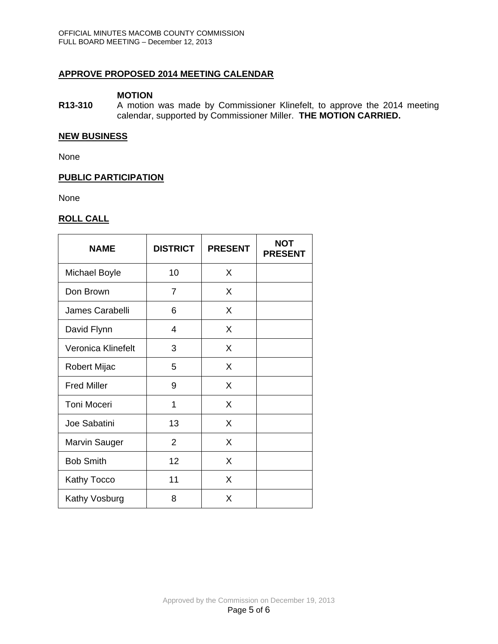## **APPROVE PROPOSED 2014 MEETING CALENDAR**

### **MOTION**

**R13-310** A motion was made by Commissioner Klinefelt, to approve the 2014 meeting calendar, supported by Commissioner Miller. **THE MOTION CARRIED.** 

## **NEW BUSINESS**

None

# **PUBLIC PARTICIPATION**

None

## **ROLL CALL**

| <b>NAME</b>          | <b>DISTRICT</b> | <b>PRESENT</b> | NOT<br><b>PRESENT</b> |
|----------------------|-----------------|----------------|-----------------------|
| <b>Michael Boyle</b> | 10              | X              |                       |
| Don Brown            | 7               | X              |                       |
| James Carabelli      | 6               | X              |                       |
| David Flynn          | 4               | X              |                       |
| Veronica Klinefelt   | 3               | X              |                       |
| Robert Mijac         | 5               | X              |                       |
| <b>Fred Miller</b>   | 9               | X              |                       |
| <b>Toni Moceri</b>   | 1               | X              |                       |
| Joe Sabatini         | 13              | X              |                       |
| <b>Marvin Sauger</b> | $\overline{2}$  | X              |                       |
| <b>Bob Smith</b>     | 12              | X              |                       |
| <b>Kathy Tocco</b>   | 11              | X              |                       |
| Kathy Vosburg        | 8               | X              |                       |